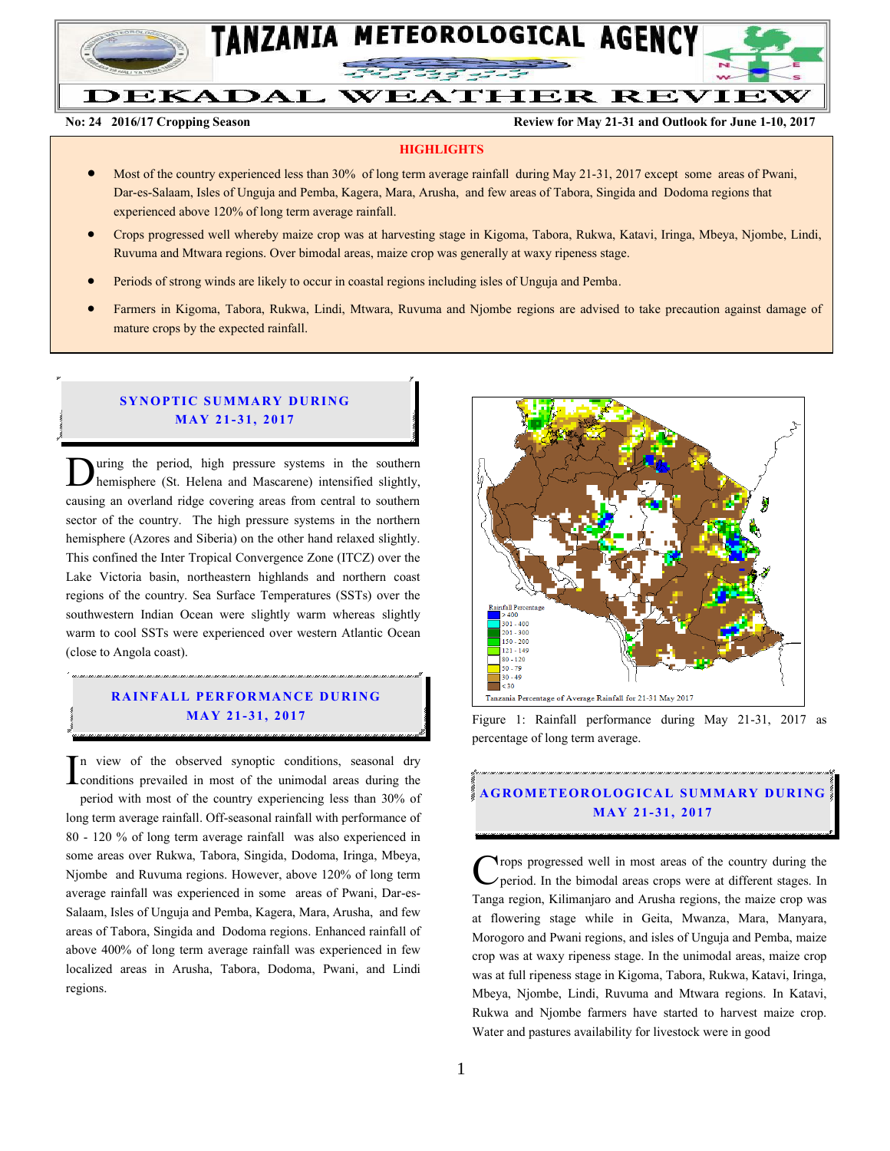

# **DEKADAL WEATHER REVIEW**

**No: 24 2016/17 Cropping Season Review for May 21-31 and Outlook for June 1-10, 2017**

#### **HIGHLIGHTS**

- Most of the country experienced less than 30% of long term average rainfall during May 21-31, 2017 except some areas of Pwani, Dar-es-Salaam, Isles of Unguja and Pemba, Kagera, Mara, Arusha, and few areas of Tabora, Singida and Dodoma regions that experienced above 120% of long term average rainfall.
- Crops progressed well whereby maize crop was at harvesting stage in Kigoma, Tabora, Rukwa, Katavi, Iringa, Mbeya, Njombe, Lindi, Ruvuma and Mtwara regions. Over bimodal areas, maize crop was generally at waxy ripeness stage.
- Periods of strong winds are likely to occur in coastal regions including isles of Unguja and Pemba.
- Farmers in Kigoma, Tabora, Rukwa, Lindi, Mtwara, Ruvuma and Njombe regions are advised to take precaution against damage of mature crops by the expected rainfall.

#### **SYNOPTIC SUMMARY DURING MAY 21-31, 2017**

uring the period, high pressure systems in the southern hemisphere (St. Helena and Mascarene) intensified slightly, **D**uring the period, high pressure systems in the southern hemisphere (St. Helena and Mascarene) intensified slightly, causing an overland ridge covering areas from central to southern sector of the country. The high pressure systems in the northern hemisphere (Azores and Siberia) on the other hand relaxed slightly. This confined the Inter Tropical Convergence Zone (ITCZ) over the Lake Victoria basin, northeastern highlands and northern coast regions of the country. Sea Surface Temperatures (SSTs) over the southwestern Indian Ocean were slightly warm whereas slightly warm to cool SSTs were experienced over western Atlantic Ocean (close to Angola coast).

### **RAINFALL PERFORMANCE DURING MA Y 21- 31, 2017**

n view of the observed synoptic conditions, seasonal dry  $\prod$ <sup>n</sup> view of the observed synoptic conditions, seasonal dry conditions prevailed in most of the unimodal areas during the period with most of the country experiencing less than 30% of long term average rainfall. Off-seasonal rainfall with performance of 80 - 120 % of long term average rainfall was also experienced in some areas over Rukwa, Tabora, Singida, Dodoma, Iringa, Mbeya, Njombe and Ruvuma regions. However, above 120% of long term average rainfall was experienced in some areas of Pwani, Dar-es-Salaam, Isles of Unguja and Pemba, Kagera, Mara, Arusha, and few areas of Tabora, Singida and Dodoma regions. Enhanced rainfall of above 400% of long term average rainfall was experienced in few localized areas in Arusha, Tabora, Dodoma, Pwani, and Lindi regions.



Figure 1: Rainfall performance during May 21-31, 2017 as percentage of long term average.

## **A G RO METEO R O LOG ICA L SU MMA RY D UR ING MA Y 21- 31, 2017**

**Trops** progressed well in most areas of the country during the period. In the bimodal areas crops were at different stages. In Tanga region, Kilimanjaro and Arusha regions, the maize crop was at flowering stage while in Geita, Mwanza, Mara, Manyara, Morogoro and Pwani regions, and isles of Unguja and Pemba, maize crop was at waxy ripeness stage. In the unimodal areas, maize crop was at full ripeness stage in Kigoma, Tabora, Rukwa, Katavi, Iringa, Mbeya, Njombe, Lindi, Ruvuma and Mtwara regions. In Katavi, Rukwa and Njombe farmers have started to harvest maize crop. Water and pastures availability for livestock were in good C